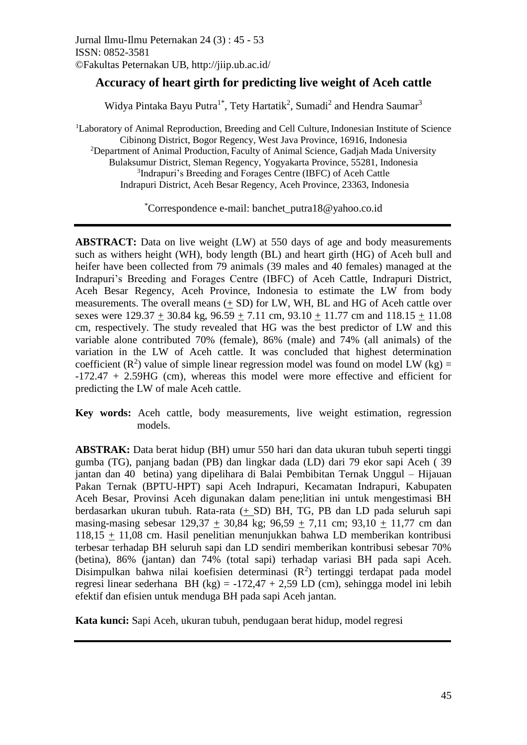# **Accuracy of heart girth for predicting live weight of Aceh cattle**

Widya Pintaka Bayu Putra<sup>1\*</sup>, Tety Hartatik<sup>2</sup>, Sumadi<sup>2</sup> and Hendra Saumar<sup>3</sup>

<sup>1</sup>Laboratory of Animal Reproduction, Breeding and Cell Culture, Indonesian Institute of Science Cibinong District, Bogor Regency, West Java Province, 16916, Indonesia <sup>2</sup>Department of Animal Production, Faculty of Animal Science, Gadjah Mada University Bulaksumur District, Sleman Regency, Yogyakarta Province, 55281, Indonesia 3 Indrapuri's Breeding and Forages Centre (IBFC) of Aceh Cattle Indrapuri District, Aceh Besar Regency, Aceh Province, 23363, Indonesia

\*Correspondence e-mail: banchet\_putra18@yahoo.co.id

**ABSTRACT:** Data on live weight (LW) at 550 days of age and body measurements such as withers height (WH), body length (BL) and heart girth (HG) of Aceh bull and heifer have been collected from 79 animals (39 males and 40 females) managed at the Indrapuri's Breeding and Forages Centre (IBFC) of Aceh Cattle, Indrapuri District, Aceh Besar Regency, Aceh Province, Indonesia to estimate the LW from body measurements. The overall means (+ SD) for LW, WH, BL and HG of Aceh cattle over sexes were  $129.37 + 30.84$  kg,  $96.59 + 7.11$  cm,  $93.10 + 11.77$  cm and  $118.15 + 11.08$ cm, respectively. The study revealed that HG was the best predictor of LW and this variable alone contributed 70% (female), 86% (male) and 74% (all animals) of the variation in the LW of Aceh cattle. It was concluded that highest determination coefficient ( $\mathbb{R}^2$ ) value of simple linear regression model was found on model LW (kg) = -172.47 + 2.59HG (cm), whereas this model were more effective and efficient for predicting the LW of male Aceh cattle.

**Key words:** Aceh cattle, body measurements, live weight estimation, regression models.

**ABSTRAK:** Data berat hidup (BH) umur 550 hari dan data ukuran tubuh seperti tinggi gumba (TG), panjang badan (PB) dan lingkar dada (LD) dari 79 ekor sapi Aceh ( 39 jantan dan 40 betina) yang dipelihara di Balai Pembibitan Ternak Unggul – Hijauan Pakan Ternak (BPTU-HPT) sapi Aceh Indrapuri, Kecamatan Indrapuri, Kabupaten Aceh Besar, Provinsi Aceh digunakan dalam pene;litian ini untuk mengestimasi BH berdasarkan ukuran tubuh. Rata-rata (+ SD) BH, TG, PB dan LD pada seluruh sapi masing-masing sebesar 129,37 + 30,84 kg; 96,59 + 7,11 cm; 93,10 + 11,77 cm dan 118,15  $\pm$  11,08 cm. Hasil penelitian menunjukkan bahwa LD memberikan kontribusi terbesar terhadap BH seluruh sapi dan LD sendiri memberikan kontribusi sebesar 70% (betina), 86% (jantan) dan 74% (total sapi) terhadap variasi BH pada sapi Aceh. Disimpulkan bahwa nilai koefisien determinasi  $(R^2)$  tertinggi terdapat pada model regresi linear sederhana BH (kg) =  $-172.47 + 2.59$  LD (cm), sehingga model ini lebih efektif dan efisien untuk menduga BH pada sapi Aceh jantan.

**Kata kunci:** Sapi Aceh, ukuran tubuh, pendugaan berat hidup, model regresi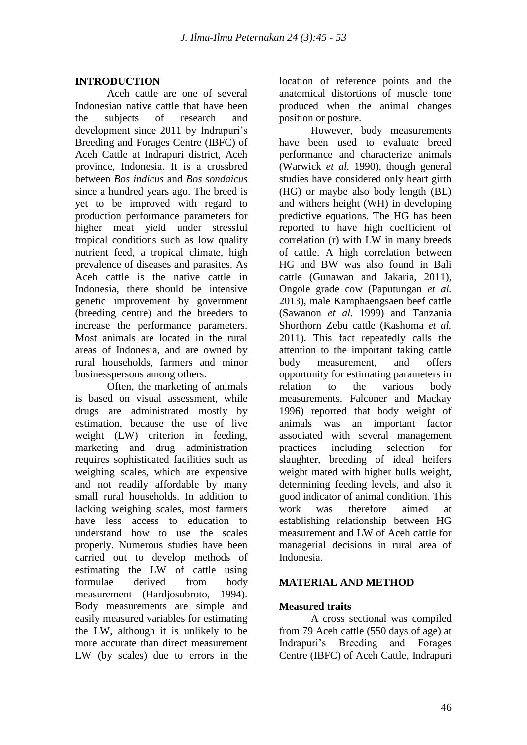## **INTRODUCTION**

Aceh cattle are one of several Indonesian native cattle that have been the subjects of research and development since 2011 by Indrapuri's Breeding and Forages Centre (IBFC) of Aceh Cattle at Indrapuri district, Aceh province, Indonesia. It is a crossbred between *Bos indicus* and *Bos sondaicus*  since a hundred years ago. The breed is yet to be improved with regard to production performance parameters for higher meat yield under stressful tropical conditions such as low quality nutrient feed, a tropical climate, high prevalence of diseases and parasites. As Aceh cattle is the native cattle in Indonesia, there should be intensive genetic improvement by government (breeding centre) and the breeders to increase the performance parameters. Most animals are located in the rural areas of Indonesia, and are owned by rural households, farmers and minor businesspersons among others.

Often, the marketing of animals is based on visual assessment, while drugs are administrated mostly by estimation, because the use of live weight (LW) criterion in feeding, marketing and drug administration requires sophisticated facilities such as weighing scales, which are expensive and not readily affordable by many small rural households. In addition to lacking weighing scales, most farmers have less access to education to understand how to use the scales properly. Numerous studies have been carried out to develop methods of estimating the LW of cattle using formulae derived from body measurement (Hardjosubroto, 1994). Body measurements are simple and easily measured variables for estimating the LW, although it is unlikely to be more accurate than direct measurement LW (by scales) due to errors in the

location of reference points and the anatomical distortions of muscle tone produced when the animal changes position or posture.

 However, body measurements have been used to evaluate breed performance and characterize animals (Warwick *et al.* 1990), though general studies have considered only heart girth (HG) or maybe also body length (BL) and withers height (WH) in developing predictive equations. The HG has been reported to have high coefficient of correlation (r) with LW in many breeds of cattle. A high correlation between HG and BW was also found in Bali cattle (Gunawan and Jakaria, 2011), Ongole grade cow (Paputungan *et al.*  2013), male Kamphaengsaen beef cattle (Sawanon *et al.* 1999) and Tanzania Shorthorn Zebu cattle (Kashoma *et al.*  2011). This fact repeatedly calls the attention to the important taking cattle body measurement, and offers opportunity for estimating parameters in relation to the various body measurements. Falconer and Mackay 1996) reported that body weight of animals was an important factor associated with several management practices including selection for slaughter, breeding of ideal heifers weight mated with higher bulls weight, determining feeding levels, and also it good indicator of animal condition. This work was therefore aimed at establishing relationship between HG measurement and LW of Aceh cattle for managerial decisions in rural area of Indonesia.

## **MATERIAL AND METHOD**

## **Measured traits**

 A cross sectional was compiled from 79 Aceh cattle (550 days of age) at Indrapuri's Breeding and Forages Centre (IBFC) of Aceh Cattle, Indrapuri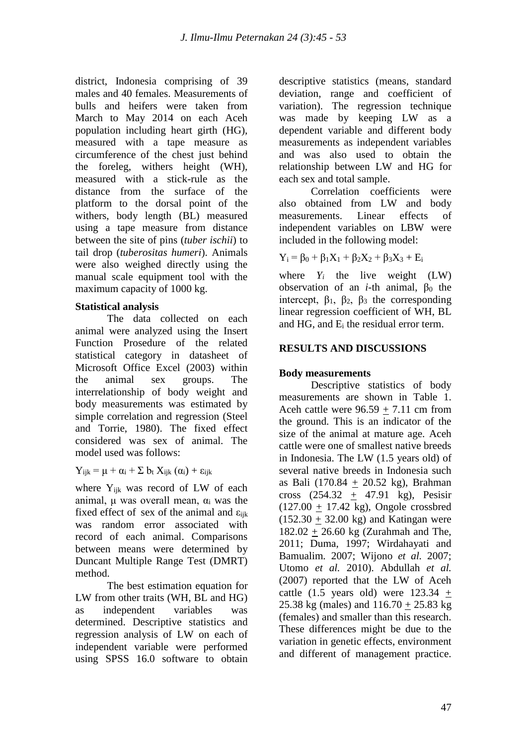district, Indonesia comprising of 39 males and 40 females. Measurements of bulls and heifers were taken from March to May 2014 on each Aceh population including heart girth (HG), measured with a tape measure as circumference of the chest just behind the foreleg, withers height (WH), measured with a stick-rule as the distance from the surface of the platform to the dorsal point of the withers, body length (BL) measured using a tape measure from distance between the site of pins (*tuber ischii*) to tail drop (*tuberositas humeri*). Animals were also weighed directly using the manual scale equipment tool with the maximum capacity of 1000 kg.

### **Statistical analysis**

 The data collected on each animal were analyzed using the Insert Function Prosedure of the related statistical category in datasheet of Microsoft Office Excel (2003) within the animal sex groups. The interrelationship of body weight and body measurements was estimated by simple correlation and regression (Steel and Torrie, 1980). The fixed effect considered was sex of animal. The model used was follows:

 $Y_{ijk} = \mu + \alpha_i + \sum b_i X_{ijk} (\alpha_i) + \varepsilon_{ijk}$ 

where Y<sub>ijk</sub> was record of LW of each animal,  $\mu$  was overall mean,  $\alpha_i$  was the fixed effect of sex of the animal and  $\varepsilon_{ijk}$ was random error associated with record of each animal. Comparisons between means were determined by Duncant Multiple Range Test (DMRT) method.

The best estimation equation for LW from other traits (WH, BL and HG) as independent variables was determined. Descriptive statistics and regression analysis of LW on each of independent variable were performed using SPSS 16.0 software to obtain descriptive statistics (means, standard deviation, range and coefficient of variation). The regression technique was made by keeping LW as a dependent variable and different body measurements as independent variables and was also used to obtain the relationship between LW and HG for each sex and total sample.

 Correlation coefficients were also obtained from LW and body measurements. Linear effects of independent variables on LBW were included in the following model:

$$
Y_i = \beta_0 + \beta_1 X_1 + \beta_2 X_2 + \beta_3 X_3 + E_i
$$

where  $Y_i$  the live weight (LW) observation of an *i*-th animal,  $\beta_0$  the intercept,  $\beta_1$ ,  $\beta_2$ ,  $\beta_3$  the corresponding linear regression coefficient of WH, BL and HG, and E<sup>i</sup> the residual error term.

### **RESULTS AND DISCUSSIONS**

### **Body measurements**

Descriptive statistics of body measurements are shown in Table 1. Aceh cattle were  $96.59 + 7.11$  cm from the ground. This is an indicator of the size of the animal at mature age. Aceh cattle were one of smallest native breeds in Indonesia. The LW (1.5 years old) of several native breeds in Indonesia such as Bali (170.84 + 20.52 kg), Brahman cross  $(254.32 + 47.91 \text{ kg})$ , Pesisir  $(127.00 + 17.42 \text{ kg})$ , Ongole crossbred  $(152.30 + 32.00 \text{ kg})$  and Katingan were  $182.02 + 26.60$  kg (Zurahmah and The, 2011; Duma, 1997; Wirdahayati and Bamualim*.* 2007; Wijono *et al.* 2007; Utomo *et al.* 2010). Abdullah *et al.* (2007) reported that the LW of Aceh cattle  $(1.5 \text{ years old})$  were  $123.34 +$ 25.38 kg (males) and  $116.70 + 25.83$  kg (females) and smaller than this research. These differences might be due to the variation in genetic effects, environment and different of management practice.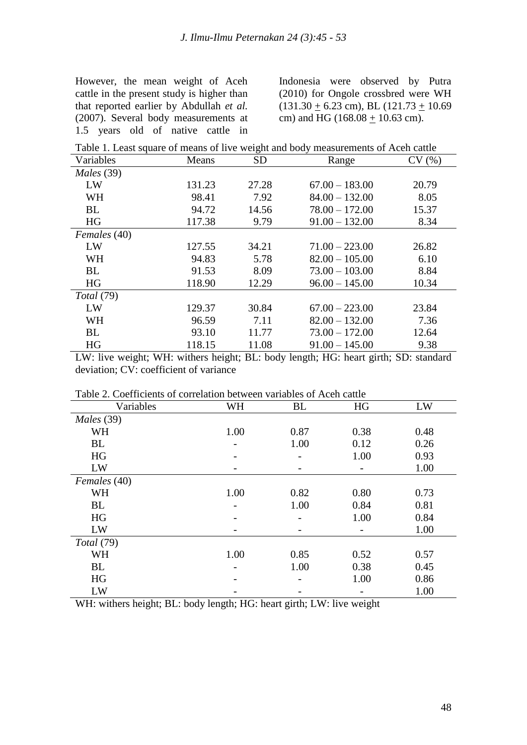However, the mean weight of Aceh cattle in the present study is higher than that reported earlier by Abdullah *et al.* (2007). Several body measurements at 1.5 years old of native cattle in

Indonesia were observed by Putra (2010) for Ongole crossbred were WH  $(131.30 + 6.23$  cm), BL  $(121.73 + 10.69)$ cm) and HG (168.08  $\pm$  10.63 cm).

| Variables<br><b>SD</b><br>Means<br>CV(%)<br>Range<br>Males (39)<br>27.28<br>$67.00 - 183.00$<br>20.79<br>LW<br>131.23<br><b>WH</b><br>$84.00 - 132.00$<br>98.41<br>7.92<br>8.05<br><b>BL</b><br>14.56<br>94.72<br>$78.00 - 172.00$<br>15.37<br>117.38<br><b>HG</b><br>$91.00 - 132.00$<br>8.34<br>9.79<br>Females (40)<br>26.82<br>LW<br>127.55<br>34.21<br>$71.00 - 223.00$<br>$82.00 - 105.00$<br><b>WH</b><br>5.78<br>6.10<br>94.83<br><b>BL</b><br>91.53<br>8.09<br>$73.00 - 103.00$<br>8.84<br>118.90<br>HG<br>$96.00 - 145.00$<br>10.34<br>12.29<br>Total (79)<br>LW<br>129.37<br>30.84<br>$67.00 - 223.00$<br>23.84<br>WH<br>$82.00 - 132.00$<br>96.59<br>7.11<br>7.36 | Table 1. Least square of means of live weight and body measurements of Aceh cattle |       |       |                  |       |  |  |  |
|-------------------------------------------------------------------------------------------------------------------------------------------------------------------------------------------------------------------------------------------------------------------------------------------------------------------------------------------------------------------------------------------------------------------------------------------------------------------------------------------------------------------------------------------------------------------------------------------------------------------------------------------------------------------------------|------------------------------------------------------------------------------------|-------|-------|------------------|-------|--|--|--|
|                                                                                                                                                                                                                                                                                                                                                                                                                                                                                                                                                                                                                                                                               |                                                                                    |       |       |                  |       |  |  |  |
|                                                                                                                                                                                                                                                                                                                                                                                                                                                                                                                                                                                                                                                                               |                                                                                    |       |       |                  |       |  |  |  |
|                                                                                                                                                                                                                                                                                                                                                                                                                                                                                                                                                                                                                                                                               |                                                                                    |       |       |                  |       |  |  |  |
|                                                                                                                                                                                                                                                                                                                                                                                                                                                                                                                                                                                                                                                                               |                                                                                    |       |       |                  |       |  |  |  |
|                                                                                                                                                                                                                                                                                                                                                                                                                                                                                                                                                                                                                                                                               |                                                                                    |       |       |                  |       |  |  |  |
|                                                                                                                                                                                                                                                                                                                                                                                                                                                                                                                                                                                                                                                                               |                                                                                    |       |       |                  |       |  |  |  |
|                                                                                                                                                                                                                                                                                                                                                                                                                                                                                                                                                                                                                                                                               |                                                                                    |       |       |                  |       |  |  |  |
|                                                                                                                                                                                                                                                                                                                                                                                                                                                                                                                                                                                                                                                                               |                                                                                    |       |       |                  |       |  |  |  |
|                                                                                                                                                                                                                                                                                                                                                                                                                                                                                                                                                                                                                                                                               |                                                                                    |       |       |                  |       |  |  |  |
|                                                                                                                                                                                                                                                                                                                                                                                                                                                                                                                                                                                                                                                                               |                                                                                    |       |       |                  |       |  |  |  |
|                                                                                                                                                                                                                                                                                                                                                                                                                                                                                                                                                                                                                                                                               |                                                                                    |       |       |                  |       |  |  |  |
|                                                                                                                                                                                                                                                                                                                                                                                                                                                                                                                                                                                                                                                                               |                                                                                    |       |       |                  |       |  |  |  |
|                                                                                                                                                                                                                                                                                                                                                                                                                                                                                                                                                                                                                                                                               |                                                                                    |       |       |                  |       |  |  |  |
|                                                                                                                                                                                                                                                                                                                                                                                                                                                                                                                                                                                                                                                                               |                                                                                    |       |       |                  |       |  |  |  |
|                                                                                                                                                                                                                                                                                                                                                                                                                                                                                                                                                                                                                                                                               | <b>BL</b>                                                                          | 93.10 | 11.77 | $73.00 - 172.00$ | 12.64 |  |  |  |
| HG<br>118.15<br>11.08<br>$91.00 - 145.00$<br>9.38                                                                                                                                                                                                                                                                                                                                                                                                                                                                                                                                                                                                                             |                                                                                    |       |       |                  |       |  |  |  |

LW: live weight; WH: withers height; BL: body length; HG: heart girth; SD: standard deviation; CV: coefficient of variance

| Variables    | <b>WH</b> | <b>BL</b>      | HG   | LW   |  |  |  |
|--------------|-----------|----------------|------|------|--|--|--|
| Males (39)   |           |                |      |      |  |  |  |
| <b>WH</b>    | 1.00      | 0.87           | 0.38 | 0.48 |  |  |  |
| BL           |           | 1.00           | 0.12 | 0.26 |  |  |  |
| HG           |           | $\overline{a}$ | 1.00 | 0.93 |  |  |  |
| LW           |           |                |      | 1.00 |  |  |  |
| Females (40) |           |                |      |      |  |  |  |
| <b>WH</b>    | 1.00      | 0.82           | 0.80 | 0.73 |  |  |  |
| BL           |           | 1.00           | 0.84 | 0.81 |  |  |  |
| HG           |           |                | 1.00 | 0.84 |  |  |  |
| LW           |           |                |      | 1.00 |  |  |  |
| Total (79)   |           |                |      |      |  |  |  |
| <b>WH</b>    | 1.00      | 0.85           | 0.52 | 0.57 |  |  |  |
| BL           |           | 1.00           | 0.38 | 0.45 |  |  |  |
| HG           |           | $\overline{a}$ | 1.00 | 0.86 |  |  |  |
| LW           |           |                |      | 1.00 |  |  |  |

Table 2. Coefficients of correlation between variables of Aceh cattle

WH: withers height; BL: body length; HG: heart girth; LW: live weight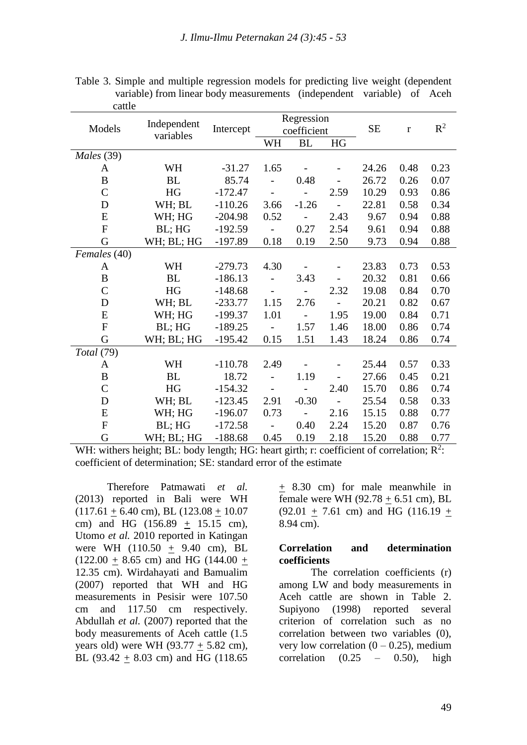| Models           |                          | Intercept | Regression                   |                          |                          |           |             |       |
|------------------|--------------------------|-----------|------------------------------|--------------------------|--------------------------|-----------|-------------|-------|
|                  | Independent<br>variables |           | coefficient                  |                          |                          | <b>SE</b> | $\mathbf r$ | $R^2$ |
|                  |                          |           | WH                           | <b>BL</b>                | HG                       |           |             |       |
| Males (39)       |                          |           |                              |                          |                          |           |             |       |
| A                | WH                       | $-31.27$  | 1.65                         |                          |                          | 24.26     | 0.48        | 0.23  |
| $\boldsymbol{B}$ | <b>BL</b>                | 85.74     | $\overline{a}$               | 0.48                     | $\overline{\phantom{0}}$ | 26.72     | 0.26        | 0.07  |
| $\mathcal{C}$    | HG                       | $-172.47$ | $\overline{\phantom{0}}$     | $\overline{\phantom{0}}$ | 2.59                     | 10.29     | 0.93        | 0.86  |
| D                | WH; BL                   | $-110.26$ | 3.66                         | $-1.26$                  |                          | 22.81     | 0.58        | 0.34  |
| ${\bf E}$        | WH; HG                   | $-204.98$ | 0.52                         |                          | 2.43                     | 9.67      | 0.94        | 0.88  |
| $\mathbf{F}$     | BL; HG                   | $-192.59$ |                              | 0.27                     | 2.54                     | 9.61      | 0.94        | 0.88  |
| G                | WH; BL; HG               | $-197.89$ | 0.18                         | 0.19                     | 2.50                     | 9.73      | 0.94        | 0.88  |
| Females (40)     |                          |           |                              |                          |                          |           |             |       |
| A                | WH                       | $-279.73$ | 4.30                         |                          |                          | 23.83     | 0.73        | 0.53  |
| B                | <b>BL</b>                | $-186.13$ | $\overline{\phantom{m}}$     | 3.43                     | $\overline{\phantom{0}}$ | 20.32     | 0.81        | 0.66  |
| $\mathcal{C}$    | HG                       | $-148.68$ | $\qquad \qquad \blacksquare$ | $\overline{\phantom{0}}$ | 2.32                     | 19.08     | 0.84        | 0.70  |
| D                | WH; BL                   | $-233.77$ | 1.15                         | 2.76                     |                          | 20.21     | 0.82        | 0.67  |
| E                | WH; HG                   | $-199.37$ | 1.01                         | $\overline{\phantom{0}}$ | 1.95                     | 19.00     | 0.84        | 0.71  |
| $\mathbf{F}$     | BL; HG                   | $-189.25$ |                              | 1.57                     | 1.46                     | 18.00     | 0.86        | 0.74  |
| G                | WH; BL; HG               | $-195.42$ | 0.15                         | 1.51                     | 1.43                     | 18.24     | 0.86        | 0.74  |
| Total (79)       |                          |           |                              |                          |                          |           |             |       |
| A                | WH                       | $-110.78$ | 2.49                         |                          |                          | 25.44     | 0.57        | 0.33  |
| B                | BL                       | 18.72     | $\overline{a}$               | 1.19                     | $\overline{\phantom{0}}$ | 27.66     | 0.45        | 0.21  |
| $\mathcal{C}$    | HG                       | $-154.32$ | $\qquad \qquad -$            |                          | 2.40                     | 15.70     | 0.86        | 0.74  |
| D                | WH; BL                   | $-123.45$ | 2.91                         | $-0.30$                  |                          | 25.54     | 0.58        | 0.33  |
| E                | WH; HG                   | $-196.07$ | 0.73                         | $\overline{\phantom{0}}$ | 2.16                     | 15.15     | 0.88        | 0.77  |
| ${\bf F}$        | BL; HG                   | $-172.58$ |                              | 0.40                     | 2.24                     | 15.20     | 0.87        | 0.76  |
| G                | WH; BL; HG               | $-188.68$ | 0.45                         | 0.19                     | 2.18                     | 15.20     | 0.88        | 0.77  |

Table 3. Simple and multiple regression models for predicting live weight (dependent variable) from linear body measurements (independent variable) of Aceh cattle

WH: withers height; BL: body length; HG: heart girth; r: coefficient of correlation;  $R^2$ : coefficient of determination; SE: standard error of the estimate

Therefore Patmawati *et al.* (2013) reported in Bali were WH  $(117.61 + 6.40$  cm), BL  $(123.08 + 10.07)$ cm) and HG (156.89 + 15.15 cm), Utomo *et al.* 2010 reported in Katingan were WH (110.50 + 9.40 cm), BL  $(122.00 + 8.65$  cm) and HG  $(144.00 +$ 12.35 cm). Wirdahayati and Bamualim (2007) reported that WH and HG measurements in Pesisir were 107.50 cm and 117.50 cm respectively. Abdullah *et al.* (2007) reported that the body measurements of Aceh cattle (1.5 years old) were WH (93.77  $\pm$  5.82 cm), BL (93.42 + 8.03 cm) and HG (118.65

+ 8.30 cm) for male meanwhile in female were WH  $(92.78 + 6.51$  cm), BL  $(92.01 + 7.61$  cm) and HG (116.19 + 8.94 cm).

#### **Correlation and determination coefficients**

The correlation coefficients (r) among LW and body measurements in Aceh cattle are shown in Table 2. Supiyono (1998) reported several criterion of correlation such as no correlation between two variables (0), very low correlation  $(0 - 0.25)$ , medium correlation  $(0.25 - 0.50)$ , high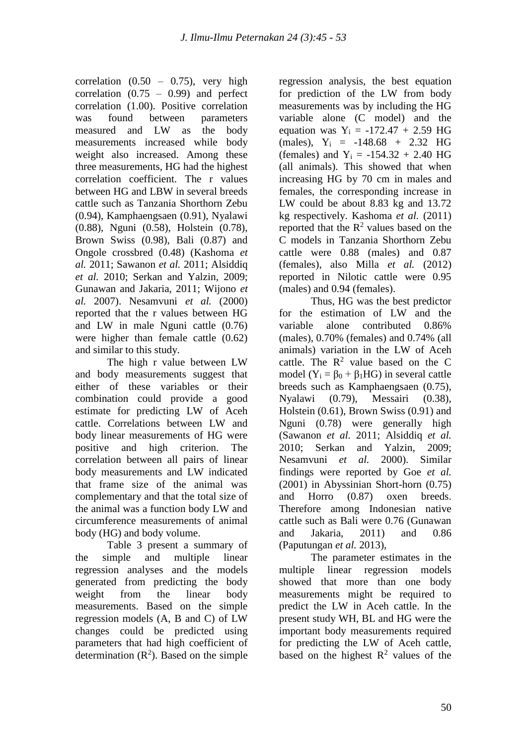correlation  $(0.50 - 0.75)$ , very high correlation  $(0.75 - 0.99)$  and perfect correlation (1.00). Positive correlation was found between parameters measured and LW as the body measurements increased while body weight also increased. Among these three measurements, HG had the highest correlation coefficient. The r values between HG and LBW in several breeds cattle such as Tanzania Shorthorn Zebu (0.94), Kamphaengsaen (0.91), Nyalawi (0.88), Nguni (0.58), Holstein (0.78), Brown Swiss (0.98), Bali (0.87) and Ongole crossbred (0.48) (Kashoma *et al.* 2011; Sawanon *et al.* 2011; Alsiddiq *et al.* 2010; Serkan and Yalzin, 2009; Gunawan and Jakaria, 2011; Wijono *et al.* 2007). Nesamvuni *et al.* (2000) reported that the r values between HG and LW in male Nguni cattle (0.76) were higher than female cattle (0.62) and similar to this study.

The high r value between LW and body measurements suggest that either of these variables or their combination could provide a good estimate for predicting LW of Aceh cattle. Correlations between LW and body linear measurements of HG were positive and high criterion. The correlation between all pairs of linear body measurements and LW indicated that frame size of the animal was complementary and that the total size of the animal was a function body LW and circumference measurements of animal body (HG) and body volume.

Table 3 present a summary of the simple and multiple linear regression analyses and the models generated from predicting the body weight from the linear body measurements. Based on the simple regression models (A, B and C) of LW changes could be predicted using parameters that had high coefficient of determination  $(R^2)$ . Based on the simple

regression analysis, the best equation for prediction of the LW from body measurements was by including the HG variable alone (C model) and the equation was  $Y_1 = -172.47 + 2.59$  HG (males),  $Y_i = -148.68 + 2.32$  HG (females) and  $Y_i = -154.32 + 2.40$  HG (all animals). This showed that when increasing HG by 70 cm in males and females, the corresponding increase in LW could be about 8.83 kg and 13.72 kg respectively. Kashoma *et al.* (2011) reported that the  $R^2$  values based on the C models in Tanzania Shorthorn Zebu cattle were 0.88 (males) and 0.87 (females), also Milla *et al.* (2012) reported in Nilotic cattle were 0.95 (males) and 0.94 (females).

Thus, HG was the best predictor for the estimation of LW and the variable alone contributed 0.86% (males), 0.70% (females) and 0.74% (all animals) variation in the LW of Aceh cattle. The  $R^2$  value based on the C model ( $Y_i = \beta_0 + \beta_1 HG$ ) in several cattle breeds such as Kamphaengsaen (0.75), Nyalawi (0.79), Messairi (0.38), Holstein (0.61), Brown Swiss (0.91) and Nguni (0.78) were generally high (Sawanon *et al.* 2011; Alsiddiq *et al.* 2010; Serkan and Yalzin, 2009; Nesamvuni *et al.* 2000). Similar findings were reported by Goe *et al.*  (2001) in Abyssinian Short-horn (0.75) and Horro (0.87) oxen breeds. Therefore among Indonesian native cattle such as Bali were 0.76 (Gunawan and Jakaria, 2011) and 0.86 (Paputungan *et al.* 2013),

The parameter estimates in the multiple linear regression models showed that more than one body measurements might be required to predict the LW in Aceh cattle. In the present study WH, BL and HG were the important body measurements required for predicting the LW of Aceh cattle, based on the highest  $R^2$  values of the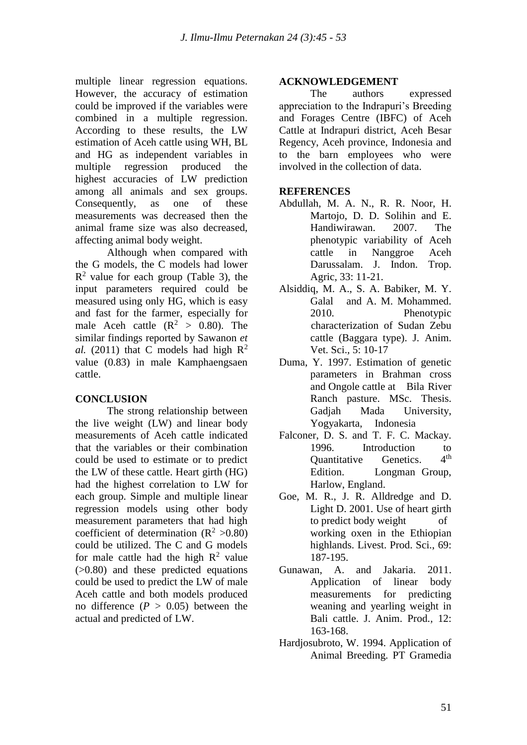multiple linear regression equations. However, the accuracy of estimation could be improved if the variables were combined in a multiple regression. According to these results, the LW estimation of Aceh cattle using WH, BL and HG as independent variables in multiple regression produced the highest accuracies of LW prediction among all animals and sex groups. Consequently, as one of these measurements was decreased then the animal frame size was also decreased, affecting animal body weight.

Although when compared with the G models, the C models had lower  $R<sup>2</sup>$  value for each group (Table 3), the input parameters required could be measured using only HG, which is easy and fast for the farmer, especially for male Aceh cattle  $(R^2 > 0.80)$ . The similar findings reported by Sawanon *et al.* (2011) that C models had high  $\mathbb{R}^2$ value (0.83) in male Kamphaengsaen cattle.

## **CONCLUSION**

The strong relationship between the live weight (LW) and linear body measurements of Aceh cattle indicated that the variables or their combination could be used to estimate or to predict the LW of these cattle. Heart girth (HG) had the highest correlation to LW for each group. Simple and multiple linear regression models using other body measurement parameters that had high coefficient of determination  $(R^2 > 0.80)$ could be utilized. The C and G models for male cattle had the high  $R^2$  value (>0.80) and these predicted equations could be used to predict the LW of male Aceh cattle and both models produced no difference  $(P > 0.05)$  between the actual and predicted of LW.

#### **ACKNOWLEDGEMENT**

The authors expressed appreciation to the Indrapuri's Breeding and Forages Centre (IBFC) of Aceh Cattle at Indrapuri district, Aceh Besar Regency, Aceh province, Indonesia and to the barn employees who were involved in the collection of data.

### **REFERENCES**

- Abdullah, M. A. N., R. R. Noor, H. Martojo, D. D. Solihin and E. Handiwirawan. 2007. The phenotypic variability of Aceh cattle in Nanggroe Aceh Darussalam. J. Indon. Trop. Agric, 33: 11-21.
- Alsiddiq, M. A., S. A. Babiker, M. Y. Galal and A. M. Mohammed. 2010. Phenotypic characterization of Sudan Zebu cattle (Baggara type). J. Anim. Vet. Sci.*,* 5: 10-17
- Duma, Y. 1997. Estimation of genetic parameters in Brahman cross and Ongole cattle at Bila River Ranch pasture. MSc. Thesis. Gadjah Mada University, Yogyakarta, Indonesia
- Falconer, D. S. and T. F. C. Mackay. 1996. Introduction to<br>Ouantitative Genetics  $4<sup>th</sup>$ Quantitative Genetics. Edition. Longman Group, Harlow, England.
- Goe, M. R., J. R. Alldredge and D. Light D. 2001. Use of heart girth to predict body weight of working oxen in the Ethiopian highlands. Livest. Prod. Sci., 69: 187-195.
- Gunawan, A. and Jakaria. 2011. Application of linear body measurements for predicting weaning and yearling weight in Bali cattle. J. Anim. Prod*.,* 12: 163-168.
- Hardjosubroto, W. 1994. Application of Animal Breeding. PT Gramedia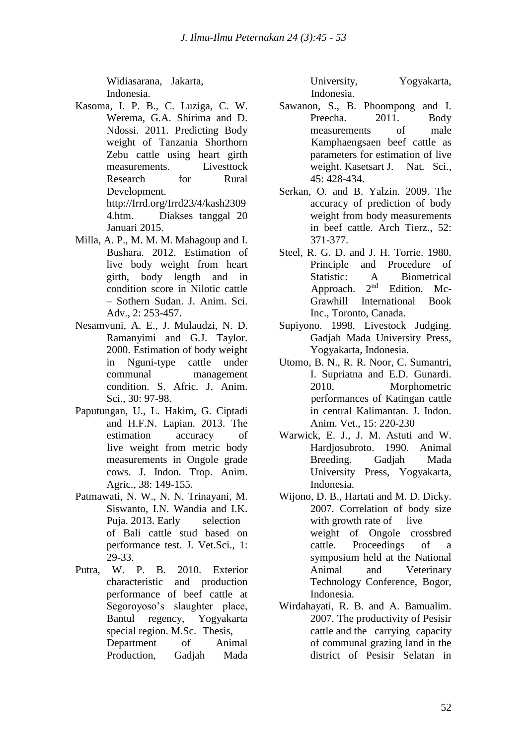Widiasarana, Jakarta, Indonesia.

- Kasoma, I. P. B., C. Luziga, C. W. Werema, G.A. Shirima and D. Ndossi. 2011. Predicting Body weight of Tanzania Shorthorn Zebu cattle using [heart girth](heart%20girth%20measurements.%20%20%20%20%20%20%09Livest)  [measurements.](heart%20girth%20measurements.%20%20%20%20%20%20%09Livest) Livesttock Research for Rural Development. [http://Irrd.org/Irrd23/4/kash2309](http://irrd.org/Irrd23/4/kash23094.htm) [4.htm.](http://irrd.org/Irrd23/4/kash23094.htm) Diakses tanggal 20 Januari 2015.
- Milla, A. P., M. M. M. Mahagoup and I. Bushara. 2012. Estimation of live body weight from heart girth, body length and in condition score in Nilotic cattle – Sothern Sudan. J. Anim. Sci. Adv., 2: 253-457.
- Nesamvuni, A. E., J. Mulaudzi, N. D. Ramanyimi and G.J. Taylor. 2000. Estimation of body weight in Nguni-type cattle under communal management condition. S. Afric. J. Anim. Sci., 30: 97-98.
- Paputungan, U., L. Hakim, G. Ciptadi and H.F.N. Lapian. 2013. The estimation accuracy of live weight from metric body measurements in Ongole grade cows. J. Indon. Trop. Anim. Agric., 38: 149-155.
- Patmawati, N. W., N. N. Trinayani, M. Siswanto, I.N. Wandia and I.K. Puja. 2013. Early selection of Bali cattle stud based on performance test. J. Vet.Sci., 1: 29-33.
- Putra, W. P. B. 2010. Exterior characteristic and production performance of beef cattle at Segoroyoso's slaughter place, Bantul regency, Yogyakarta special region. M.Sc. Thesis, Department of Animal Production, Gadjah Mada

University, Yogyakarta, Indonesia.

- Sawanon, S., B. Phoompong and I. Preecha. 2011. Body measurements of male Kamphaengsaen beef cattle as parameters for estimation of live weight. Kasetsart J. Nat. Sci., 45: 428-434.
- Serkan, O. and B. Yalzin. 2009. The accuracy of prediction of body weight from body measurements in beef cattle. Arch Tierz*.,* 52: 371-377.
- Steel, R. G. D. and J. H. Torrie. 1980. Principle and Procedure of Statistic:  $A$  Biometrical<br>Approach  $2<sup>nd</sup>$  Edition Mc-Approach. 2 Edition. Mc-Grawhill International Book Inc., Toronto, Canada.
- Supiyono. 1998. Livestock Judging. Gadjah Mada University Press, Yogyakarta, Indonesia.
- Utomo, B. N., R. R. Noor, C. Sumantri, I. Supriatna and E.D. Gunardi. 2010. Morphometric performances of Katingan cattle in central Kalimantan. J. Indon. Anim. Vet., 15: 220-230
- Warwick, E. J., J. M. Astuti and W. Hardjosubroto. 1990. Animal Breeding. Gadjah Mada University Press, Yogyakarta, Indonesia.
- Wijono, D. B., Hartati and M. D. Dicky. 2007. Correlation of body size with growth rate of live weight of Ongole crossbred cattle. Proceedings of a symposium held at the National Animal and Veterinary Technology Conference, Bogor, Indonesia.
- Wirdahayati, R. B. and A. Bamualim. 2007. The productivity of Pesisir cattle and the carrying capacity of communal grazing land in the district of Pesisir Selatan in